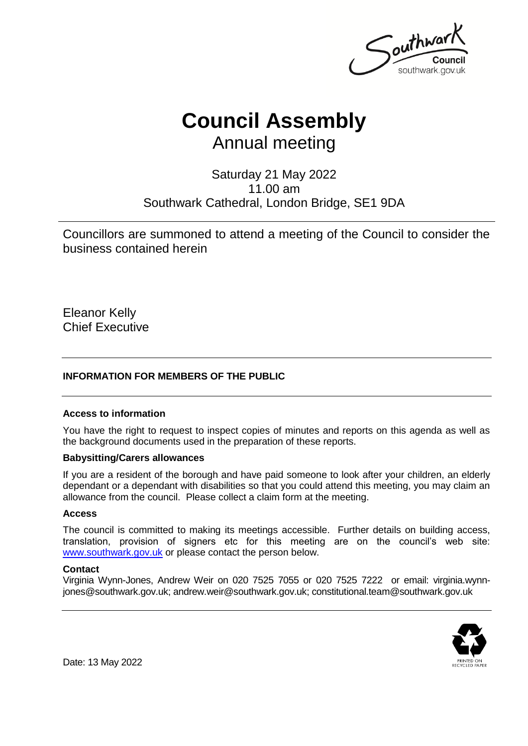Southway southwark.gov.uk

# **Council Assembly**

Annual meeting

### Saturday 21 May 2022 11.00 am Southwark Cathedral, London Bridge, SE1 9DA

Councillors are summoned to attend a meeting of the Council to consider the business contained herein

Eleanor Kelly Chief Executive

#### **INFORMATION FOR MEMBERS OF THE PUBLIC**

#### **Access to information**

You have the right to request to inspect copies of minutes and reports on this agenda as well as the background documents used in the preparation of these reports.

#### **Babysitting/Carers allowances**

If you are a resident of the borough and have paid someone to look after your children, an elderly dependant or a dependant with disabilities so that you could attend this meeting, you may claim an allowance from the council. Please collect a claim form at the meeting.

#### **Access**

The council is committed to making its meetings accessible. Further details on building access, translation, provision of signers etc for this meeting are on the council's web site: [www.southwark.gov.uk](http://www.southwark.gov.uk/Public/Home.aspx) or please contact the person below.

#### **Contact**

Virginia Wynn-Jones, Andrew Weir on 020 7525 7055 or 020 7525 7222 or email: virginia.wynnjones@southwark.gov.uk; andrew.weir@southwark.gov.uk; constitutional.team@southwark.gov.uk



Date: 13 May 2022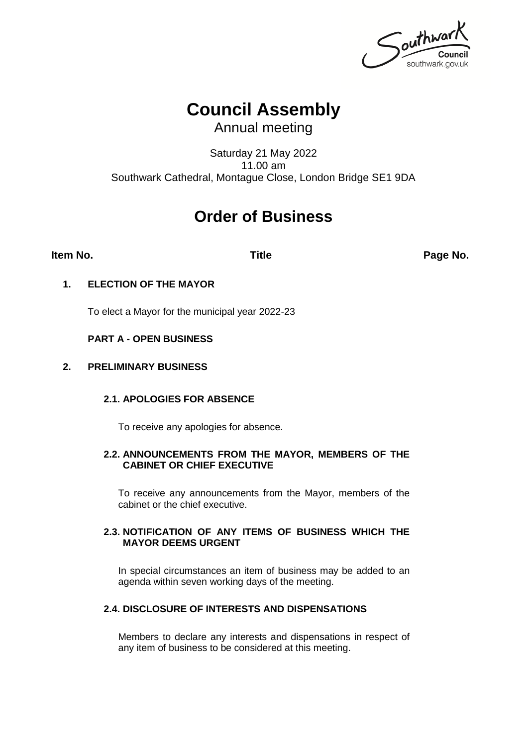Southwark southwark.gov.uk

## **Council Assembly**

Annual meeting

Saturday 21 May 2022 11.00 am Southwark Cathedral, Montague Close, London Bridge SE1 9DA

### **Order of Business**

**Item No. Title Page No.**

#### **1. ELECTION OF THE MAYOR**

To elect a Mayor for the municipal year 2022-23

#### **PART A - OPEN BUSINESS**

#### **2. PRELIMINARY BUSINESS**

#### **2.1. APOLOGIES FOR ABSENCE**

To receive any apologies for absence.

#### **2.2. ANNOUNCEMENTS FROM THE MAYOR, MEMBERS OF THE CABINET OR CHIEF EXECUTIVE**

To receive any announcements from the Mayor, members of the cabinet or the chief executive.

#### **2.3. NOTIFICATION OF ANY ITEMS OF BUSINESS WHICH THE MAYOR DEEMS URGENT**

In special circumstances an item of business may be added to an agenda within seven working days of the meeting.

#### **2.4. DISCLOSURE OF INTERESTS AND DISPENSATIONS**

Members to declare any interests and dispensations in respect of any item of business to be considered at this meeting.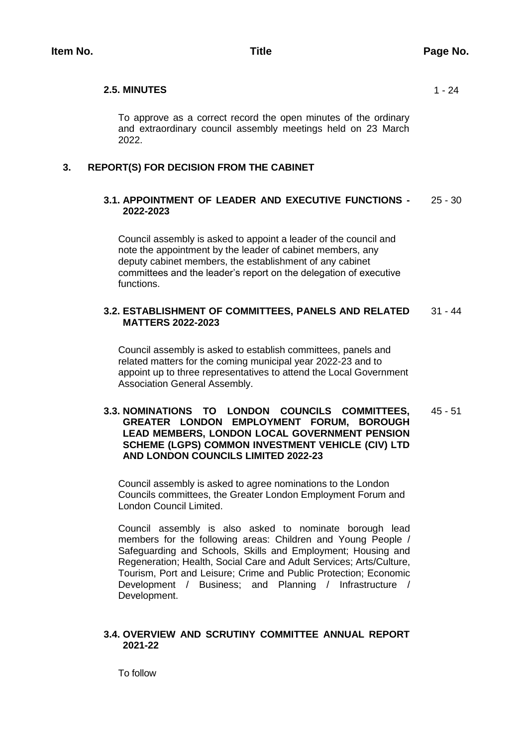#### **2.5. MINUTES** 1 - 24

To approve as a correct record the open minutes of the ordinary and extraordinary council assembly meetings held on 23 March 2022.

#### **3. REPORT(S) FOR DECISION FROM THE CABINET**

#### **3.1. APPOINTMENT OF LEADER AND EXECUTIVE FUNCTIONS - 2022-2023** 25 - 30

Council assembly is asked to appoint a leader of the council and note the appointment by the leader of cabinet members, any deputy cabinet members, the establishment of any cabinet committees and the leader's report on the delegation of executive functions.

#### **3.2. ESTABLISHMENT OF COMMITTEES, PANELS AND RELATED MATTERS 2022-2023** 31 - 44

Council assembly is asked to establish committees, panels and related matters for the coming municipal year 2022-23 and to appoint up to three representatives to attend the Local Government Association General Assembly.

#### **3.3. NOMINATIONS TO LONDON COUNCILS COMMITTEES, GREATER LONDON EMPLOYMENT FORUM, BOROUGH LEAD MEMBERS, LONDON LOCAL GOVERNMENT PENSION SCHEME (LGPS) COMMON INVESTMENT VEHICLE (CIV) LTD AND LONDON COUNCILS LIMITED 2022-23** 45 - 51

Council assembly is asked to agree nominations to the London Councils committees, the Greater London Employment Forum and London Council Limited.

Council assembly is also asked to nominate borough lead members for the following areas: Children and Young People / Safeguarding and Schools, Skills and Employment; Housing and Regeneration; Health, Social Care and Adult Services; Arts/Culture, Tourism, Port and Leisure; Crime and Public Protection; Economic Development / Business; and Planning / Infrastructure / Development.

#### **3.4. OVERVIEW AND SCRUTINY COMMITTEE ANNUAL REPORT 2021-22**

To follow